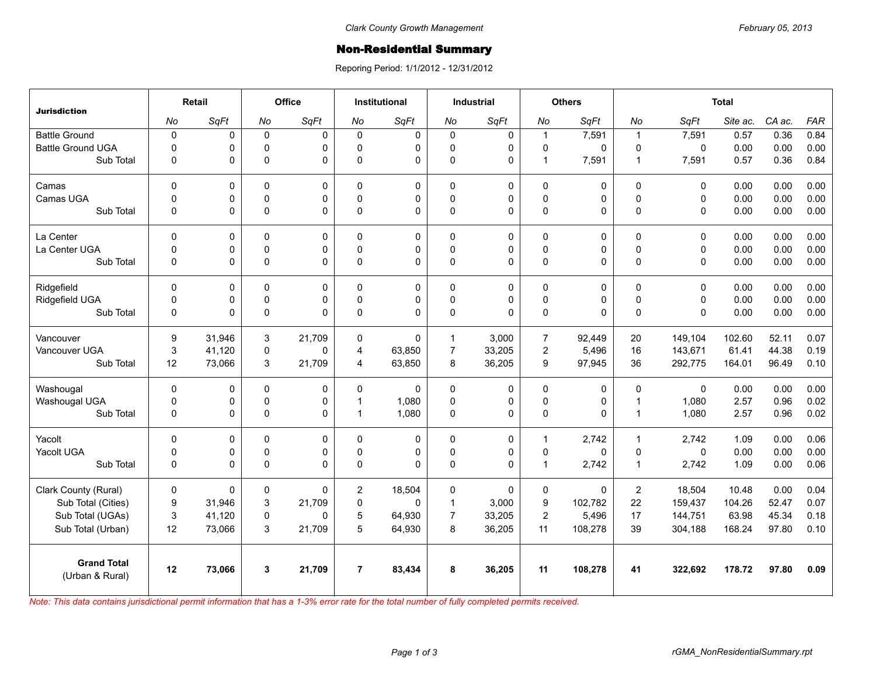## **Non-Residential Summary**

Reporing Period: 1/1/2012 - 12/31/2012

| <b>Jurisdiction</b>                   | Retail         |        | <b>Office</b> |             | <b>Institutional</b> |          | <b>Industrial</b> |             | <b>Others</b>       |          | <b>Total</b>   |              |          |        |            |
|---------------------------------------|----------------|--------|---------------|-------------|----------------------|----------|-------------------|-------------|---------------------|----------|----------------|--------------|----------|--------|------------|
|                                       | No             | SqFt   | No            | SqFt        | No                   | SqFt     | No                | SqFt        | No                  | SqFt     | No             | SqFt         | Site ac. | CA ac. | <b>FAR</b> |
| <b>Battle Ground</b>                  | $\pmb{0}$      | 0      | $\mathbf 0$   | $\mathbf 0$ | $\Omega$             | 0        | $\mathbf 0$       | 0           | $\mathbf{1}$        | 7,591    | $\overline{1}$ | 7,591        | 0.57     | 0.36   | 0.84       |
| <b>Battle Ground UGA</b>              | $\overline{0}$ | 0      | $\Omega$      | $\Omega$    | $\Omega$             | 0        | $\Omega$          | $\Omega$    | 0                   | 0        | $\Omega$       | $\mathbf 0$  | 0.00     | 0.00   | 0.00       |
| Sub Total                             | $\Omega$       | 0      | 0             | $\Omega$    | $\Omega$             | 0        | 0                 | $\Omega$    | $\mathbf{1}$        | 7,591    | $\mathbf{1}$   | 7,591        | 0.57     | 0.36   | 0.84       |
| Camas                                 | $\mathbf 0$    | 0      | 0             | $\mathbf 0$ | $\Omega$             | 0        | $\mathbf 0$       | 0           | 0                   | 0        | $\Omega$       | 0            | 0.00     | 0.00   | 0.00       |
| Camas UGA                             | $\mathbf 0$    | 0      | $\Omega$      | $\Omega$    | $\Omega$             | 0        | $\mathbf 0$       | $\Omega$    | 0                   | 0        | $\Omega$       | $\Omega$     | 0.00     | 0.00   | 0.00       |
| Sub Total                             | $\mathbf 0$    | 0      | 0             | $\mathbf 0$ | $\Omega$             | 0        | 0                 | $\mathbf 0$ | 0                   | 0        | $\Omega$       | $\mathbf 0$  | 0.00     | 0.00   | 0.00       |
| La Center                             | $\Omega$       | 0      | $\Omega$      | $\mathbf 0$ | $\Omega$             | 0        | 0                 | $\mathbf 0$ | 0                   | 0        | $\Omega$       | $\mathbf{0}$ | 0.00     | 0.00   | 0.00       |
| La Center UGA                         | $\mathbf 0$    | 0      | 0             | $\pmb{0}$   | $\Omega$             | 0        | 0                 | $\pmb{0}$   | $\mathbf 0$         | 0        | 0              | $\mathbf 0$  | 0.00     | 0.00   | 0.00       |
| Sub Total                             | $\Omega$       | 0      | 0             | $\Omega$    | $\Omega$             | $\Omega$ | $\Omega$          | $\Omega$    | 0                   | 0        | $\Omega$       | $\Omega$     | 0.00     | 0.00   | 0.00       |
| Ridgefield                            | $\Omega$       | 0      | $\Omega$      | $\mathbf 0$ | $\Omega$             | 0        | $\Omega$          | $\mathbf 0$ | 0                   | 0        | $\Omega$       | $\Omega$     | 0.00     | 0.00   | 0.00       |
| Ridgefield UGA                        | $\mathbf 0$    | 0      | 0             | $\pmb{0}$   | $\mathbf 0$          | 0        | 0                 | $\pmb{0}$   | $\mathsf{O}\xspace$ | 0        | $\pmb{0}$      | $\mathbf 0$  | 0.00     | 0.00   | 0.00       |
| Sub Total                             | $\mathbf 0$    | 0      | $\mathbf 0$   | $\Omega$    | $\Omega$             | 0        | 0                 | $\Omega$    | 0                   | $\Omega$ | $\Omega$       | $\Omega$     | 0.00     | 0.00   | 0.00       |
| Vancouver                             | 9              | 31,946 | 3             | 21,709      | $\Omega$             | $\Omega$ | $\mathbf{1}$      | 3,000       | $\overline{7}$      | 92.449   | 20             | 149,104      | 102.60   | 52.11  | 0.07       |
| Vancouver UGA                         | 3              | 41,120 | 0             | $\Omega$    | 4                    | 63,850   | $\overline{7}$    | 33,205      | $\overline{2}$      | 5,496    | 16             | 143,671      | 61.41    | 44.38  | 0.19       |
| Sub Total                             | 12             | 73,066 | 3             | 21,709      | 4                    | 63,850   | 8                 | 36,205      | 9                   | 97,945   | 36             | 292,775      | 164.01   | 96.49  | 0.10       |
| Washougal                             | $\mathbf 0$    | 0      | 0             | $\mathbf 0$ | $\Omega$             | 0        | $\mathbf 0$       | $\mathbf 0$ | 0                   | 0        | $\Omega$       | $\mathbf{0}$ | 0.00     | 0.00   | 0.00       |
| Washougal UGA                         | $\mathbf 0$    | 0      | 0             | 0           | 1                    | 1,080    | 0                 | $\mathbf 0$ | 0                   | 0        | $\overline{1}$ | 1,080        | 2.57     | 0.96   | 0.02       |
| Sub Total                             | $\mathbf 0$    | 0      | 0             | $\pmb{0}$   | $\mathbf 1$          | 1,080    | 0                 | $\pmb{0}$   | $\mathsf 0$         | 0        | $\overline{1}$ | 1,080        | 2.57     | 0.96   | 0.02       |
| Yacolt                                | 0              | 0      | $\Omega$      | 0           | $\Omega$             | 0        | $\mathbf 0$       | $\mathbf 0$ | $\mathbf{1}$        | 2,742    | $\mathbf{1}$   | 2,742        | 1.09     | 0.00   | 0.06       |
| Yacolt UGA                            | $\mathbf 0$    | 0      | $\Omega$      | $\mathbf 0$ | $\Omega$             | 0        | 0                 | $\mathbf 0$ | 0                   | $\Omega$ | $\Omega$       | $\Omega$     | 0.00     | 0.00   | 0.00       |
| Sub Total                             | $\Omega$       | 0      | 0             | $\Omega$    | $\Omega$             | $\Omega$ | $\Omega$          | $\Omega$    | $\mathbf{1}$        | 2,742    | $\overline{1}$ | 2,742        | 1.09     | 0.00   | 0.06       |
| Clark County (Rural)                  | $\mathbf 0$    | 0      | 0             | $\Omega$    | $\overline{2}$       | 18,504   | 0                 | 0           | 0                   | 0        | $\overline{2}$ | 18,504       | 10.48    | 0.00   | 0.04       |
| Sub Total (Cities)                    | 9              | 31,946 | 3             | 21,709      | 0                    | 0        | $\mathbf{1}$      | 3,000       | 9                   | 102,782  | 22             | 159,437      | 104.26   | 52.47  | 0.07       |
| Sub Total (UGAs)                      | 3              | 41,120 | 0             | $\Omega$    | 5                    | 64,930   | $\overline{7}$    | 33,205      | $\overline{2}$      | 5,496    | 17             | 144,751      | 63.98    | 45.34  | 0.18       |
| Sub Total (Urban)                     | 12             | 73,066 | 3             | 21,709      | 5                    | 64,930   | 8                 | 36,205      | 11                  | 108,278  | 39             | 304,188      | 168.24   | 97.80  | 0.10       |
| <b>Grand Total</b><br>(Urban & Rural) | 12             | 73,066 | $\mathbf{3}$  | 21,709      | $\overline{7}$       | 83,434   | 8                 | 36,205      | 11                  | 108,278  | 41             | 322,692      | 178.72   | 97.80  | 0.09       |

*Note: This data contains jurisdictional permit information that has a 1-3% error rate for the total number of fully completed permits received.*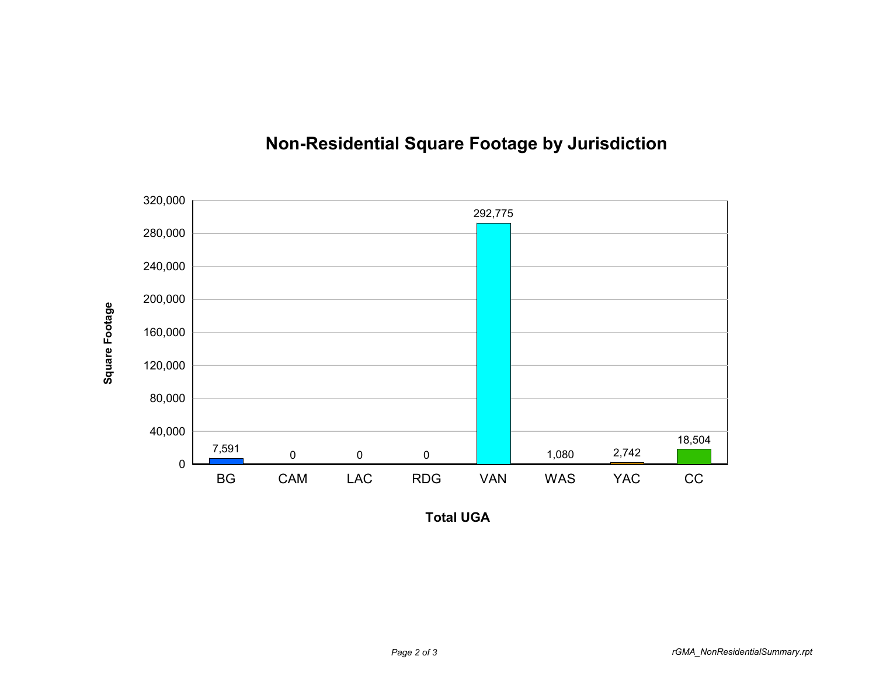

## **Non-Residential Square Footage by Jurisdiction**

**Total UGA**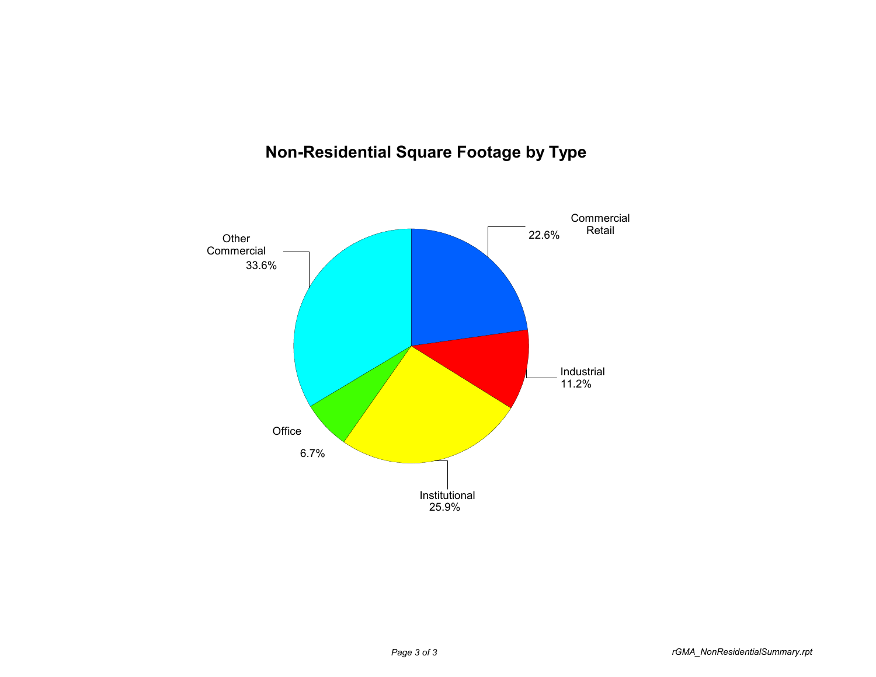## **Non-Residential Square Footage by Type**